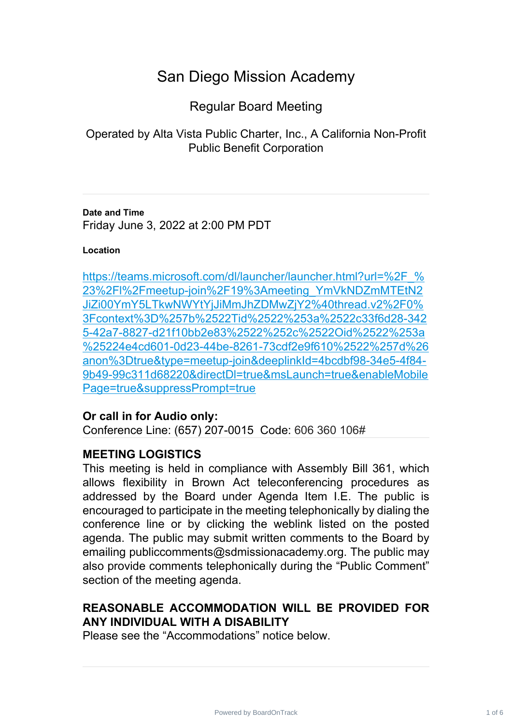# San Diego Mission Academy

# Regular Board Meeting

Operated by Alta Vista Public Charter, Inc., A California Non-Profit Public Benefit Corporation

**Date and Time** Friday June 3, 2022 at 2:00 PM PDT

#### **Location**

https://teams.microsoft.com/dl/launcher/launcher.html?url=%2F % 23%2Fl%2Fmeetup-join%2F19%3Ameeting\_YmVkNDZmMTEtN2 [JiZi00YmY5LTkwNWYtYjJiMmJhZDMwZjY2%40thread.v2%2F0%](https://teams.microsoft.com/dl/launcher/launcher.html?url=%2F_%23%2Fl%2Fmeetup-join%2F19%3Ameeting_YmVkNDZmMTEtN2JiZi00YmY5LTkwNWYtYjJiMmJhZDMwZjY2%40thread.v2%2F0%3Fcontext%3D%257b%2522Tid%2522%253a%2522c33f6d28-3425-42a7-8827-d21f10bb2e83%2522%252c%2522Oid%2522%253a%25224e4cd601-0d23-44be-8261-73cdf2e9f610%2522%257d%26anon%3Dtrue&type=meetup-join&deeplinkId=4bcdbf98-34e5-4f84-9b49-99c311d68220&directDl=true&msLaunch=true&enableMobilePage=true&suppressPrompt=true) 3Fcontext%3D%257b%2522Tid%2522%253a%2522c33f6d28-342 [5-42a7-8827-d21f10bb2e83%2522%252c%2522Oid%2522%253a](https://teams.microsoft.com/dl/launcher/launcher.html?url=%2F_%23%2Fl%2Fmeetup-join%2F19%3Ameeting_YmVkNDZmMTEtN2JiZi00YmY5LTkwNWYtYjJiMmJhZDMwZjY2%40thread.v2%2F0%3Fcontext%3D%257b%2522Tid%2522%253a%2522c33f6d28-3425-42a7-8827-d21f10bb2e83%2522%252c%2522Oid%2522%253a%25224e4cd601-0d23-44be-8261-73cdf2e9f610%2522%257d%26anon%3Dtrue&type=meetup-join&deeplinkId=4bcdbf98-34e5-4f84-9b49-99c311d68220&directDl=true&msLaunch=true&enableMobilePage=true&suppressPrompt=true) %25224e4cd601-0d23-44be-8261-73cdf2e9f610%2522%257d%26 [anon%3Dtrue&type=meetup-join&deeplinkId=4bcdbf98-34e5-4f84-](https://teams.microsoft.com/dl/launcher/launcher.html?url=%2F_%23%2Fl%2Fmeetup-join%2F19%3Ameeting_YmVkNDZmMTEtN2JiZi00YmY5LTkwNWYtYjJiMmJhZDMwZjY2%40thread.v2%2F0%3Fcontext%3D%257b%2522Tid%2522%253a%2522c33f6d28-3425-42a7-8827-d21f10bb2e83%2522%252c%2522Oid%2522%253a%25224e4cd601-0d23-44be-8261-73cdf2e9f610%2522%257d%26anon%3Dtrue&type=meetup-join&deeplinkId=4bcdbf98-34e5-4f84-9b49-99c311d68220&directDl=true&msLaunch=true&enableMobilePage=true&suppressPrompt=true) 9b49-99c311d68220&directDl=true&msLaunch=true&enableMobile [Page=true&suppressPrompt=true](https://teams.microsoft.com/dl/launcher/launcher.html?url=%2F_%23%2Fl%2Fmeetup-join%2F19%3Ameeting_YmVkNDZmMTEtN2JiZi00YmY5LTkwNWYtYjJiMmJhZDMwZjY2%40thread.v2%2F0%3Fcontext%3D%257b%2522Tid%2522%253a%2522c33f6d28-3425-42a7-8827-d21f10bb2e83%2522%252c%2522Oid%2522%253a%25224e4cd601-0d23-44be-8261-73cdf2e9f610%2522%257d%26anon%3Dtrue&type=meetup-join&deeplinkId=4bcdbf98-34e5-4f84-9b49-99c311d68220&directDl=true&msLaunch=true&enableMobilePage=true&suppressPrompt=true)

## **Or call in for Audio only:**

Conference Line: (657) 207-0015 Code: 606 360 106#

## **MEETING LOGISTICS**

This meeting is held in compliance with Assembly Bill 361, which allows flexibility in Brown Act teleconferencing procedures as addressed by the Board under Agenda Item I.E. The public is encouraged to participate in the meeting telephonically by dialing the conference line or by clicking the weblink listed on the posted agenda. The public may submit written comments to the Board by emailing publiccomments@sdmissionacademy.org. The public may also provide comments telephonically during the "Public Comment" section of the meeting agenda.

# **REASONABLE ACCOMMODATION WILL BE PROVIDED FOR ANY INDIVIDUAL WITH A DISABILITY**

Please see the "Accommodations" notice below.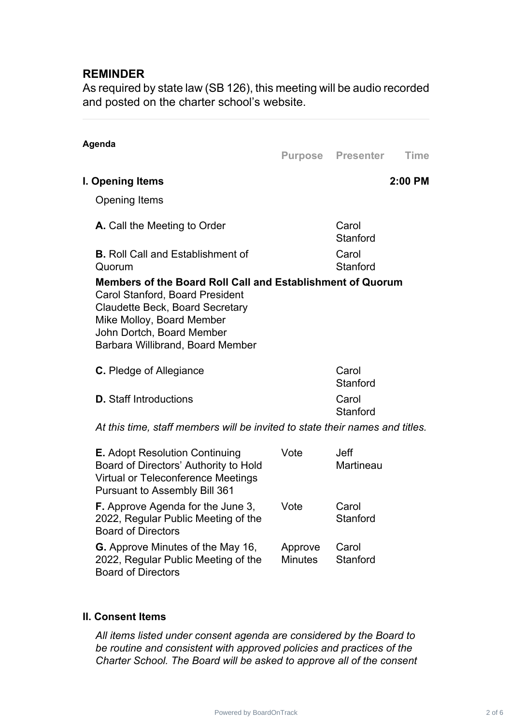# **REMINDER**

As required by state law (SB 126), this meeting will be audio recorded and posted on the charter school's website.

| Agenda                                                                                                                                                                                                                                       | Purpose Presenter | <b>Time</b> |
|----------------------------------------------------------------------------------------------------------------------------------------------------------------------------------------------------------------------------------------------|-------------------|-------------|
| I. Opening Items                                                                                                                                                                                                                             |                   | 2:00 PM     |
| <b>Opening Items</b>                                                                                                                                                                                                                         |                   |             |
| <b>A.</b> Call the Meeting to Order                                                                                                                                                                                                          | Carol<br>Stanford |             |
| <b>B.</b> Roll Call and Establishment of<br>Quorum                                                                                                                                                                                           | Carol<br>Stanford |             |
| Members of the Board Roll Call and Establishment of Quorum<br><b>Carol Stanford, Board President</b><br>Claudette Beck, Board Secretary<br>Mike Molloy, Board Member<br>John Dortch, Board Member<br><b>Barbara Willibrand, Board Member</b> |                   |             |
| <b>C.</b> Pledge of Allegiance                                                                                                                                                                                                               | Carol<br>Stanford |             |
| <b>D.</b> Staff Introductions                                                                                                                                                                                                                | Carol<br>Stanford |             |

*At this time, staff members will be invited to state their names and titles.*

| <b>E.</b> Adopt Resolution Continuing<br>Board of Directors' Authority to Hold<br><b>Virtual or Teleconference Meetings</b><br><b>Pursuant to Assembly Bill 361</b> | Vote                      | <b>Jeff</b><br>Martineau |
|---------------------------------------------------------------------------------------------------------------------------------------------------------------------|---------------------------|--------------------------|
| <b>F.</b> Approve Agenda for the June 3,<br>2022, Regular Public Meeting of the<br><b>Board of Directors</b>                                                        | Vote                      | Carol<br>Stanford        |
| <b>G.</b> Approve Minutes of the May 16,<br>2022, Regular Public Meeting of the<br><b>Board of Directors</b>                                                        | Approve<br><b>Minutes</b> | Carol<br>Stanford        |

#### **II. Consent Items**

*All items listed under consent agenda are considered by the Board to be routine and consistent with approved policies and practices of the Charter School. The Board will be asked to approve all of the consent*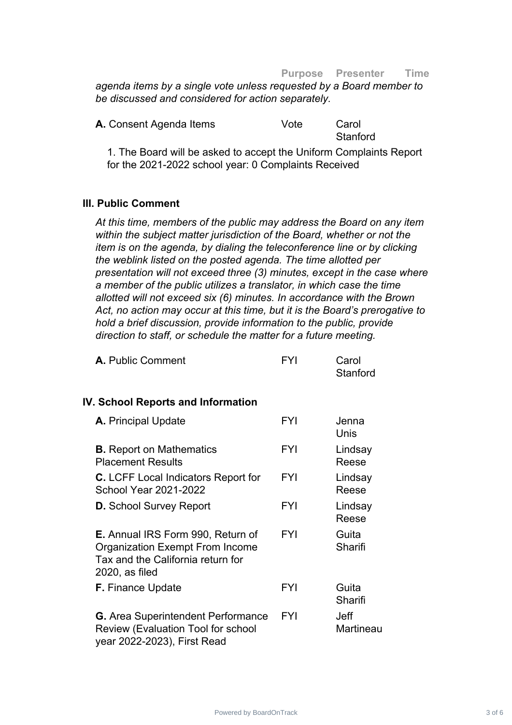#### **Purpose Presenter Time**

*agenda items by a single vote unless requested by a Board member to be discussed and considered for action separately.*

| A. Consent Agenda Items | Vote | Carol    |
|-------------------------|------|----------|
|                         |      | Stanford |

1. The Board will be asked to accept the Uniform Complaints Report for the 2021-2022 school year: 0 Complaints Received

#### **III. Public Comment**

*At this time, members of the public may address the Board on any item within the subject matter jurisdiction of the Board, whether or not the item is on the agenda, by dialing the teleconference line or by clicking the weblink listed on the posted agenda. The time allotted per presentation will not exceed three (3) minutes, except in the case where a member of the public utilizes a translator, in which case the time allotted will not exceed six (6) minutes. In accordance with the Brown Act, no action may occur at this time, but it is the Board's prerogative to hold a brief discussion, provide information to the public, provide direction to staff, or schedule the matter for a future meeting.*

| A. Public Comment | <b>FYI</b> | Carol    |
|-------------------|------------|----------|
|                   |            | Stanford |

#### **IV. School Reports and Information**

| A. Principal Update                                                                                                                       | <b>FYI</b> | Jenna<br>Unis     |
|-------------------------------------------------------------------------------------------------------------------------------------------|------------|-------------------|
| <b>B.</b> Report on Mathematics<br><b>Placement Results</b>                                                                               | <b>FYI</b> | Lindsay<br>Reese  |
| <b>C.</b> LCFF Local Indicators Report for<br><b>School Year 2021-2022</b>                                                                | <b>FYI</b> | Lindsay<br>Reese  |
| <b>D.</b> School Survey Report                                                                                                            | <b>FYI</b> | Lindsay<br>Reese  |
| <b>E.</b> Annual IRS Form 990, Return of<br><b>Organization Exempt From Income</b><br>Tax and the California return for<br>2020, as filed | <b>FYI</b> | Guita<br>Sharifi  |
| <b>F.</b> Finance Update                                                                                                                  | <b>FYI</b> | Guita<br>Sharifi  |
| <b>G.</b> Area Superintendent Performance<br>Review (Evaluation Tool for school<br>year 2022-2023), First Read                            | <b>FYI</b> | Jeff<br>Martineau |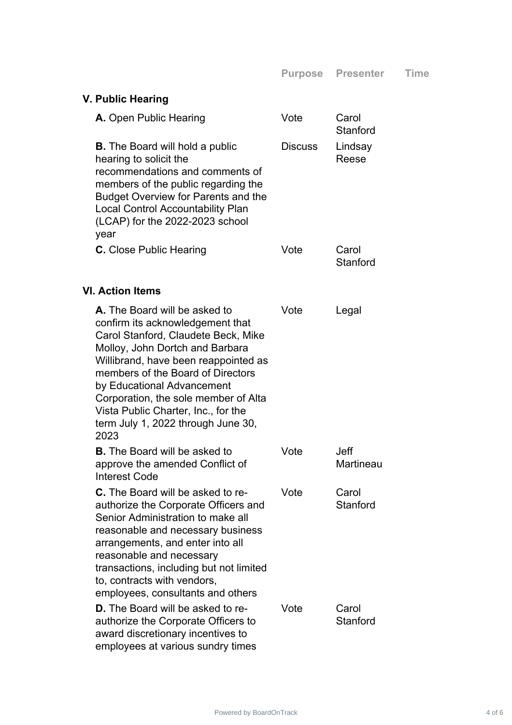| V. Public Hearing                                                                                                                                                                                                                                                                                                                                                                   |                |                          |  |  |
|-------------------------------------------------------------------------------------------------------------------------------------------------------------------------------------------------------------------------------------------------------------------------------------------------------------------------------------------------------------------------------------|----------------|--------------------------|--|--|
| A. Open Public Hearing                                                                                                                                                                                                                                                                                                                                                              | Vote           | Carol<br>Stanford        |  |  |
| <b>B.</b> The Board will hold a public<br>hearing to solicit the<br>recommendations and comments of<br>members of the public regarding the<br><b>Budget Overview for Parents and the</b><br><b>Local Control Accountability Plan</b><br>(LCAP) for the 2022-2023 school<br>year                                                                                                     | <b>Discuss</b> | Lindsay<br>Reese         |  |  |
| <b>C.</b> Close Public Hearing                                                                                                                                                                                                                                                                                                                                                      | Vote           | Carol<br>Stanford        |  |  |
| <b>VI. Action Items</b>                                                                                                                                                                                                                                                                                                                                                             |                |                          |  |  |
| A. The Board will be asked to<br>confirm its acknowledgement that<br>Carol Stanford, Claudete Beck, Mike<br>Molloy, John Dortch and Barbara<br>Willibrand, have been reappointed as<br>members of the Board of Directors<br>by Educational Advancement<br>Corporation, the sole member of Alta<br>Vista Public Charter, Inc., for the<br>term July 1, 2022 through June 30,<br>2023 | Vote           | Legal                    |  |  |
| <b>B.</b> The Board will be asked to<br>approve the amended Conflict of<br><b>Interest Code</b>                                                                                                                                                                                                                                                                                     | Vote           | <b>Jeff</b><br>Martineau |  |  |
| C. The Board will be asked to re-<br>authorize the Corporate Officers and<br>Senior Administration to make all<br>reasonable and necessary business<br>arrangements, and enter into all<br>reasonable and necessary<br>transactions, including but not limited<br>to, contracts with vendors,<br>employees, consultants and others                                                  | Vote           | Carol<br>Stanford        |  |  |
| <b>D.</b> The Board will be asked to re-<br>authorize the Corporate Officers to<br>award discretionary incentives to<br>employees at various sundry times                                                                                                                                                                                                                           | Vote           | Carol<br>Stanford        |  |  |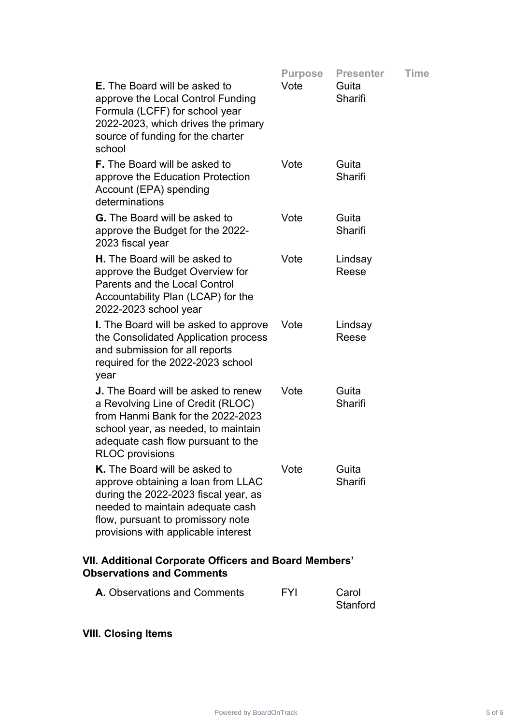|                                                                                                                                                                                                                             | <b>Purpose</b> | <b>Presenter</b>  | Time |
|-----------------------------------------------------------------------------------------------------------------------------------------------------------------------------------------------------------------------------|----------------|-------------------|------|
| <b>E.</b> The Board will be asked to<br>approve the Local Control Funding<br>Formula (LCFF) for school year<br>2022-2023, which drives the primary<br>source of funding for the charter<br>school                           | Vote           | Guita<br>Sharifi  |      |
| <b>F.</b> The Board will be asked to<br>approve the Education Protection<br>Account (EPA) spending<br>determinations                                                                                                        | Vote           | Guita<br>Sharifi  |      |
| <b>G.</b> The Board will be asked to<br>approve the Budget for the 2022-<br>2023 fiscal year                                                                                                                                | Vote           | Guita<br>Sharifi  |      |
| <b>H.</b> The Board will be asked to<br>approve the Budget Overview for<br>Parents and the Local Control<br>Accountability Plan (LCAP) for the<br>2022-2023 school year                                                     | Vote           | Lindsay<br>Reese  |      |
| <b>I.</b> The Board will be asked to approve<br>the Consolidated Application process<br>and submission for all reports<br>required for the 2022-2023 school<br>year                                                         | Vote           | Lindsay<br>Reese  |      |
| <b>J.</b> The Board will be asked to renew<br>a Revolving Line of Credit (RLOC)<br>from Hanmi Bank for the 2022-2023<br>school year, as needed, to maintain<br>adequate cash flow pursuant to the<br><b>RLOC</b> provisions | Vote           | Guita<br>Sharifi  |      |
| K. The Board will be asked to<br>approve obtaining a loan from LLAC<br>during the 2022-2023 fiscal year, as<br>needed to maintain adequate cash<br>flow, pursuant to promissory note<br>provisions with applicable interest | Vote           | Guita<br>Sharifi  |      |
| VII. Additional Corporate Officers and Board Members'<br><b>Observations and Comments</b>                                                                                                                                   |                |                   |      |
| A. Observations and Comments                                                                                                                                                                                                | <b>FYI</b>     | Carol<br>Stanford |      |

**VIII. Closing Items**